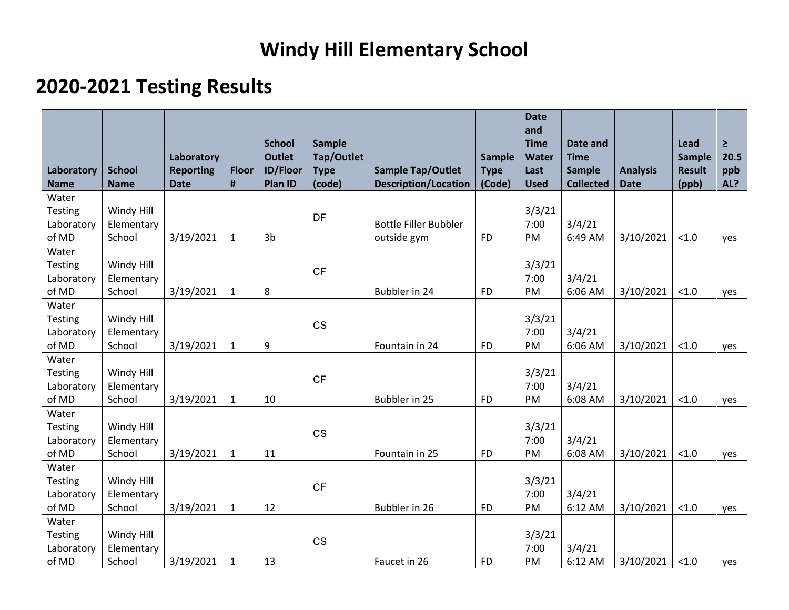## **Windy Hill Elementary School**

## **2020-2021 Testing Results**

| Laboratory          | <b>School</b>        | Laboratory<br><b>Reporting</b> | <b>Floor</b>   | <b>School</b><br><b>Outlet</b><br><b>ID/Floor</b> | <b>Sample</b><br>Tap/Outlet<br><b>Type</b> | <b>Sample Tap/Outlet</b>     | <b>Sample</b><br><b>Type</b> | <b>Date</b><br>and<br><b>Time</b><br><b>Water</b><br>Last | Date and<br><b>Time</b><br><b>Sample</b> | <b>Analysis</b> | Lead<br>Sample<br><b>Result</b> | $\geq$<br>20.5<br>ppb |
|---------------------|----------------------|--------------------------------|----------------|---------------------------------------------------|--------------------------------------------|------------------------------|------------------------------|-----------------------------------------------------------|------------------------------------------|-----------------|---------------------------------|-----------------------|
| <b>Name</b>         | <b>Name</b>          | <b>Date</b>                    | $\pmb{\sharp}$ | Plan ID                                           | (code)                                     | <b>Description/Location</b>  | (Code)                       | <b>Used</b>                                               | <b>Collected</b>                         | <b>Date</b>     | (ppb)                           | AL?                   |
| Water               |                      |                                |                |                                                   |                                            |                              |                              |                                                           |                                          |                 |                                 |                       |
| Testing             | Windy Hill           |                                |                |                                                   | DF                                         |                              |                              | 3/3/21                                                    |                                          |                 |                                 |                       |
| Laboratory          | Elementary           |                                |                |                                                   |                                            | <b>Bottle Filler Bubbler</b> |                              | 7:00                                                      | 3/4/21                                   |                 |                                 |                       |
| of MD               | School               | 3/19/2021                      | $\mathbf{1}$   | 3 <sub>b</sub>                                    |                                            | outside gym                  | <b>FD</b>                    | PM                                                        | 6:49 AM                                  | 3/10/2021       | < 1.0                           | yes                   |
| Water               |                      |                                |                |                                                   |                                            |                              |                              |                                                           |                                          |                 |                                 |                       |
| Testing             | Windy Hill           |                                |                |                                                   | CF                                         |                              |                              | 3/3/21                                                    |                                          |                 |                                 |                       |
| Laboratory<br>of MD | Elementary<br>School |                                |                |                                                   |                                            | Bubbler in 24                | <b>FD</b>                    | 7:00<br>PM                                                | 3/4/21<br>6:06 AM                        |                 |                                 |                       |
|                     |                      | 3/19/2021                      | $\mathbf{1}$   | 8                                                 |                                            |                              |                              |                                                           |                                          | 3/10/2021       | < 1.0                           | yes                   |
| Water<br>Testing    | Windy Hill           |                                |                |                                                   |                                            |                              |                              | 3/3/21                                                    |                                          |                 |                                 |                       |
| Laboratory          | Elementary           |                                |                |                                                   | <b>CS</b>                                  |                              |                              | 7:00                                                      | 3/4/21                                   |                 |                                 |                       |
| of MD               | School               | 3/19/2021                      | $\mathbf{1}$   | 9                                                 |                                            | Fountain in 24               | <b>FD</b>                    | PM                                                        | 6:06 AM                                  | 3/10/2021       | < 1.0                           | yes                   |
| Water               |                      |                                |                |                                                   |                                            |                              |                              |                                                           |                                          |                 |                                 |                       |
| Testing             | Windy Hill           |                                |                |                                                   |                                            |                              |                              | 3/3/21                                                    |                                          |                 |                                 |                       |
| Laboratory          | Elementary           |                                |                |                                                   | CF                                         |                              |                              | 7:00                                                      | 3/4/21                                   |                 |                                 |                       |
| of MD               | School               | 3/19/2021                      | $\mathbf{1}$   | 10                                                |                                            | Bubbler in 25                | <b>FD</b>                    | PM                                                        | 6:08 AM                                  | 3/10/2021       | < 1.0                           | yes                   |
| Water               |                      |                                |                |                                                   |                                            |                              |                              |                                                           |                                          |                 |                                 |                       |
| Testing             | Windy Hill           |                                |                |                                                   |                                            |                              |                              | 3/3/21                                                    |                                          |                 |                                 |                       |
| Laboratory          | Elementary           |                                |                |                                                   | <b>CS</b>                                  |                              |                              | 7:00                                                      | 3/4/21                                   |                 |                                 |                       |
| of MD               | School               | 3/19/2021                      | $\mathbf{1}$   | 11                                                |                                            | Fountain in 25               | <b>FD</b>                    | PM                                                        | 6:08 AM                                  | 3/10/2021       | < 1.0                           | yes                   |
| Water               |                      |                                |                |                                                   |                                            |                              |                              |                                                           |                                          |                 |                                 |                       |
| Testing             | Windy Hill           |                                |                |                                                   | CF                                         |                              |                              | 3/3/21                                                    |                                          |                 |                                 |                       |
| Laboratory          | Elementary           |                                |                |                                                   |                                            |                              |                              | 7:00                                                      | 3/4/21                                   |                 |                                 |                       |
| of MD               | School               | 3/19/2021                      | $\mathbf{1}$   | 12                                                |                                            | Bubbler in 26                | <b>FD</b>                    | PM                                                        | 6:12 AM                                  | 3/10/2021       | < 1.0                           | yes                   |
| Water               |                      |                                |                |                                                   |                                            |                              |                              |                                                           |                                          |                 |                                 |                       |
| Testing             | Windy Hill           |                                |                |                                                   | <b>CS</b>                                  |                              |                              | 3/3/21                                                    |                                          |                 |                                 |                       |
| Laboratory          | Elementary           |                                |                |                                                   |                                            |                              |                              | 7:00                                                      | 3/4/21                                   |                 |                                 |                       |
| of MD               | School               | 3/19/2021                      | 1              | 13                                                |                                            | Faucet in 26                 | <b>FD</b>                    | PM                                                        | 6:12 AM                                  | 3/10/2021       | < 1.0                           | yes                   |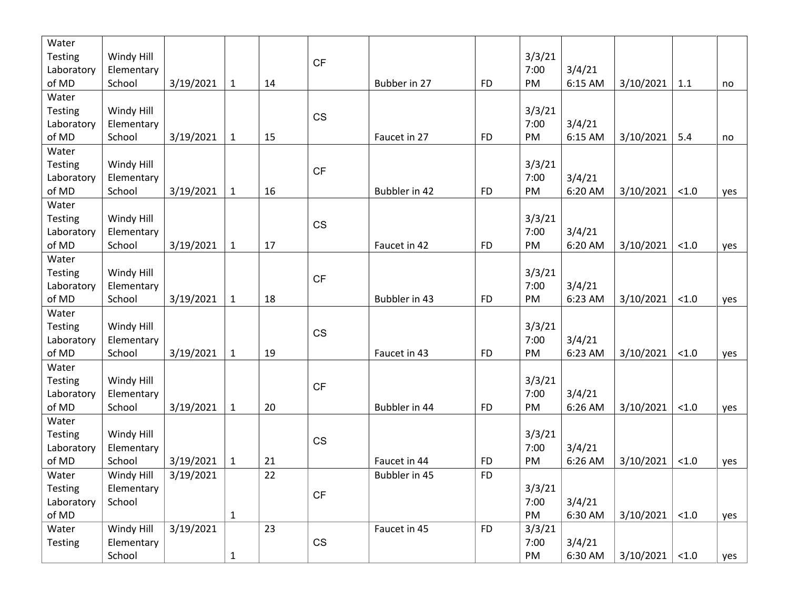| Water          |            |           |              |    |                        |               |           |        |         |           |       |     |
|----------------|------------|-----------|--------------|----|------------------------|---------------|-----------|--------|---------|-----------|-------|-----|
| <b>Testing</b> | Windy Hill |           |              |    | CF                     |               |           | 3/3/21 |         |           |       |     |
| Laboratory     | Elementary |           |              |    |                        |               |           | 7:00   | 3/4/21  |           |       |     |
| of MD          | School     | 3/19/2021 | $\mathbf{1}$ | 14 |                        | Bubber in 27  | <b>FD</b> | PM     | 6:15 AM | 3/10/2021 | 1.1   | no  |
| Water          |            |           |              |    |                        |               |           |        |         |           |       |     |
| Testing        | Windy Hill |           |              |    | <b>CS</b>              |               |           | 3/3/21 |         |           |       |     |
| Laboratory     | Elementary |           |              |    |                        |               |           | 7:00   | 3/4/21  |           |       |     |
| of MD          | School     | 3/19/2021 | $\mathbf{1}$ | 15 |                        | Faucet in 27  | <b>FD</b> | PM     | 6:15 AM | 3/10/2021 | 5.4   | no  |
| Water          |            |           |              |    |                        |               |           |        |         |           |       |     |
| Testing        | Windy Hill |           |              |    | <b>CF</b>              |               |           | 3/3/21 |         |           |       |     |
| Laboratory     | Elementary |           |              |    |                        |               |           | 7:00   | 3/4/21  |           |       |     |
| of MD          | School     | 3/19/2021 | $\mathbf{1}$ | 16 |                        | Bubbler in 42 | <b>FD</b> | PM     | 6:20 AM | 3/10/2021 | < 1.0 | yes |
| Water          |            |           |              |    |                        |               |           |        |         |           |       |     |
| Testing        | Windy Hill |           |              |    | CS                     |               |           | 3/3/21 |         |           |       |     |
| Laboratory     | Elementary |           |              |    |                        |               |           | 7:00   | 3/4/21  |           |       |     |
| of MD          | School     | 3/19/2021 | $\mathbf{1}$ | 17 |                        | Faucet in 42  | <b>FD</b> | PM     | 6:20 AM | 3/10/2021 | < 1.0 | yes |
| Water          |            |           |              |    |                        |               |           |        |         |           |       |     |
| Testing        | Windy Hill |           |              |    |                        |               |           | 3/3/21 |         |           |       |     |
| Laboratory     | Elementary |           |              |    | CF                     |               |           | 7:00   | 3/4/21  |           |       |     |
| of MD          | School     | 3/19/2021 | $\mathbf{1}$ | 18 |                        | Bubbler in 43 | <b>FD</b> | PM     | 6:23 AM | 3/10/2021 | < 1.0 | yes |
| Water          |            |           |              |    |                        |               |           |        |         |           |       |     |
| Testing        | Windy Hill |           |              |    |                        |               |           | 3/3/21 |         |           |       |     |
| Laboratory     | Elementary |           |              |    | CS                     |               |           | 7:00   | 3/4/21  |           |       |     |
| of MD          | School     | 3/19/2021 | $\mathbf{1}$ | 19 |                        | Faucet in 43  | <b>FD</b> | PM     | 6:23 AM | 3/10/2021 | < 1.0 | yes |
| Water          |            |           |              |    |                        |               |           |        |         |           |       |     |
| Testing        | Windy Hill |           |              |    |                        |               |           | 3/3/21 |         |           |       |     |
| Laboratory     | Elementary |           |              |    | CF                     |               |           | 7:00   | 3/4/21  |           |       |     |
| of MD          | School     | 3/19/2021 | $\mathbf{1}$ | 20 |                        | Bubbler in 44 | <b>FD</b> | PM     | 6:26 AM | 3/10/2021 | < 1.0 | yes |
| Water          |            |           |              |    |                        |               |           |        |         |           |       |     |
| <b>Testing</b> | Windy Hill |           |              |    |                        |               |           | 3/3/21 |         |           |       |     |
| Laboratory     | Elementary |           |              |    | CS                     |               |           | 7:00   | 3/4/21  |           |       |     |
| of MD          | School     | 3/19/2021 | $\mathbf{1}$ | 21 |                        | Faucet in 44  | <b>FD</b> | PM     | 6:26 AM | 3/10/2021 | < 1.0 | yes |
| Water          | Windy Hill | 3/19/2021 |              | 22 |                        | Bubbler in 45 | <b>FD</b> |        |         |           |       |     |
| Testing        | Elementary |           |              |    |                        |               |           | 3/3/21 |         |           |       |     |
| Laboratory     | School     |           |              |    | $\mathsf{C}\mathsf{F}$ |               |           | 7:00   | 3/4/21  |           |       |     |
| of MD          |            |           | $\mathbf{1}$ |    |                        |               |           | PM     | 6:30 AM | 3/10/2021 | < 1.0 | yes |
| Water          | Windy Hill | 3/19/2021 |              | 23 |                        | Faucet in 45  | <b>FD</b> | 3/3/21 |         |           |       |     |
| Testing        | Elementary |           |              |    | CS                     |               |           | 7:00   | 3/4/21  |           |       |     |
|                | School     |           | $\mathbf{1}$ |    |                        |               |           | PM     | 6:30 AM | 3/10/2021 | < 1.0 | yes |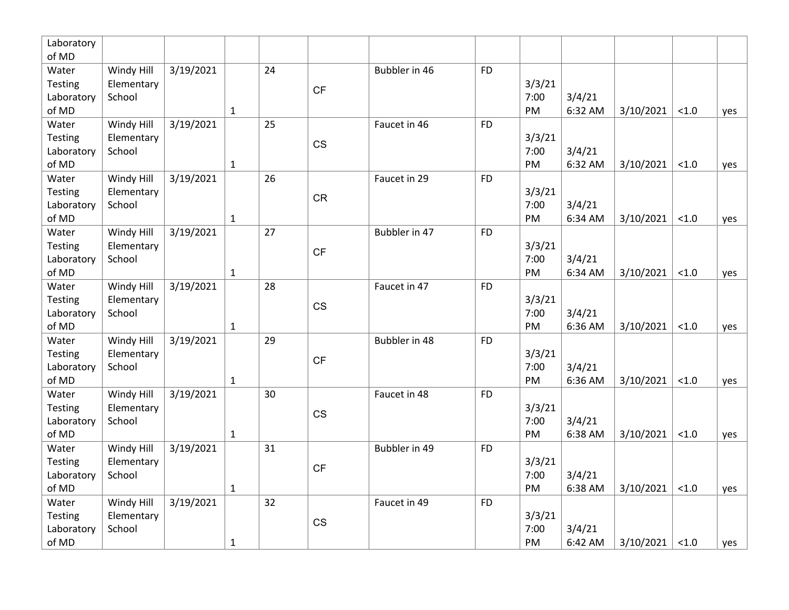| Laboratory |            |           |              |    |                        |               |           |        |         |           |       |     |
|------------|------------|-----------|--------------|----|------------------------|---------------|-----------|--------|---------|-----------|-------|-----|
| of MD      |            |           |              |    |                        |               |           |        |         |           |       |     |
| Water      | Windy Hill | 3/19/2021 |              | 24 |                        | Bubbler in 46 | <b>FD</b> |        |         |           |       |     |
| Testing    | Elementary |           |              |    | CF                     |               |           | 3/3/21 |         |           |       |     |
| Laboratory | School     |           |              |    |                        |               |           | 7:00   | 3/4/21  |           |       |     |
| of MD      |            |           | $\mathbf{1}$ |    |                        |               |           | PM     | 6:32 AM | 3/10/2021 | < 1.0 | yes |
| Water      | Windy Hill | 3/19/2021 |              | 25 |                        | Faucet in 46  | <b>FD</b> |        |         |           |       |     |
| Testing    | Elementary |           |              |    | CS                     |               |           | 3/3/21 |         |           |       |     |
| Laboratory | School     |           |              |    |                        |               |           | 7:00   | 3/4/21  |           |       |     |
| of MD      |            |           | $\mathbf{1}$ |    |                        |               |           | PM     | 6:32 AM | 3/10/2021 | < 1.0 | yes |
| Water      | Windy Hill | 3/19/2021 |              | 26 |                        | Faucet in 29  | <b>FD</b> |        |         |           |       |     |
| Testing    | Elementary |           |              |    | <b>CR</b>              |               |           | 3/3/21 |         |           |       |     |
| Laboratory | School     |           |              |    |                        |               |           | 7:00   | 3/4/21  |           |       |     |
| of MD      |            |           | $\mathbf{1}$ |    |                        |               |           | PM     | 6:34 AM | 3/10/2021 | < 1.0 | yes |
| Water      | Windy Hill | 3/19/2021 |              | 27 |                        | Bubbler in 47 | <b>FD</b> |        |         |           |       |     |
| Testing    | Elementary |           |              |    | CF                     |               |           | 3/3/21 |         |           |       |     |
| Laboratory | School     |           |              |    |                        |               |           | 7:00   | 3/4/21  |           |       |     |
| of MD      |            |           | $\mathbf{1}$ |    |                        |               |           | PM     | 6:34 AM | 3/10/2021 | < 1.0 | yes |
| Water      | Windy Hill | 3/19/2021 |              | 28 |                        | Faucet in 47  | <b>FD</b> |        |         |           |       |     |
| Testing    | Elementary |           |              |    | $\mathbb{C}\mathbb{S}$ |               |           | 3/3/21 |         |           |       |     |
| Laboratory | School     |           |              |    |                        |               |           | 7:00   | 3/4/21  |           |       |     |
| of MD      |            |           | $\mathbf{1}$ |    |                        |               |           | PM     | 6:36 AM | 3/10/2021 | < 1.0 | yes |
| Water      | Windy Hill | 3/19/2021 |              | 29 |                        | Bubbler in 48 | <b>FD</b> |        |         |           |       |     |
| Testing    | Elementary |           |              |    | <b>CF</b>              |               |           | 3/3/21 |         |           |       |     |
| Laboratory | School     |           |              |    |                        |               |           | 7:00   | 3/4/21  |           |       |     |
| of MD      |            |           | $\mathbf{1}$ |    |                        |               |           | PM     | 6:36 AM | 3/10/2021 | < 1.0 | yes |
| Water      | Windy Hill | 3/19/2021 |              | 30 |                        | Faucet in 48  | <b>FD</b> |        |         |           |       |     |
| Testing    | Elementary |           |              |    | CS                     |               |           | 3/3/21 |         |           |       |     |
| Laboratory | School     |           |              |    |                        |               |           | 7:00   | 3/4/21  |           |       |     |
| of MD      |            |           | $\mathbf{1}$ |    |                        |               |           | PM     | 6:38 AM | 3/10/2021 | < 1.0 | yes |
| Water      | Windy Hill | 3/19/2021 |              | 31 |                        | Bubbler in 49 | <b>FD</b> |        |         |           |       |     |
| Testing    | Elementary |           |              |    | <b>CF</b>              |               |           | 3/3/21 |         |           |       |     |
| Laboratory | School     |           |              |    |                        |               |           | 7:00   | 3/4/21  |           |       |     |
| of MD      |            |           | $\mathbf{1}$ |    |                        |               |           | PM     | 6:38 AM | 3/10/2021 | < 1.0 | yes |
| Water      | Windy Hill | 3/19/2021 |              | 32 |                        | Faucet in 49  | <b>FD</b> |        |         |           |       |     |
| Testing    | Elementary |           |              |    | CS                     |               |           | 3/3/21 |         |           |       |     |
| Laboratory | School     |           |              |    |                        |               |           | 7:00   | 3/4/21  |           |       |     |
| of MD      |            |           | $\mathbf{1}$ |    |                        |               |           | PM     | 6:42 AM | 3/10/2021 | < 1.0 | yes |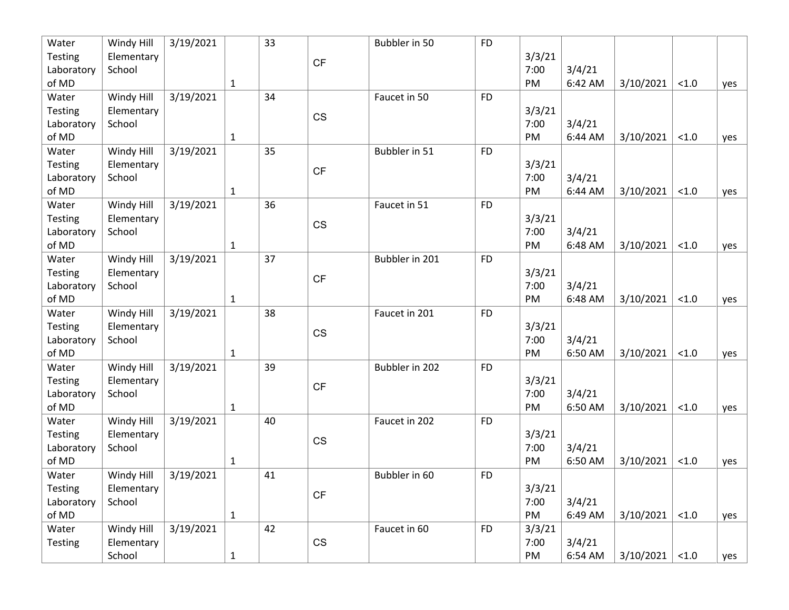| Water      | Windy Hill | 3/19/2021 |              | 33 |                        | Bubbler in 50  | <b>FD</b> |        |         |           |       |     |
|------------|------------|-----------|--------------|----|------------------------|----------------|-----------|--------|---------|-----------|-------|-----|
| Testing    | Elementary |           |              |    | CF                     |                |           | 3/3/21 |         |           |       |     |
| Laboratory | School     |           |              |    |                        |                |           | 7:00   | 3/4/21  |           |       |     |
| of MD      |            |           | $\mathbf{1}$ |    |                        |                |           | PM     | 6:42 AM | 3/10/2021 | < 1.0 | yes |
| Water      | Windy Hill | 3/19/2021 |              | 34 |                        | Faucet in 50   | <b>FD</b> |        |         |           |       |     |
| Testing    | Elementary |           |              |    | <b>CS</b>              |                |           | 3/3/21 |         |           |       |     |
| Laboratory | School     |           |              |    |                        |                |           | 7:00   | 3/4/21  |           |       |     |
| of MD      |            |           | $\mathbf{1}$ |    |                        |                |           | PM     | 6:44 AM | 3/10/2021 | < 1.0 | yes |
| Water      | Windy Hill | 3/19/2021 |              | 35 |                        | Bubbler in 51  | <b>FD</b> |        |         |           |       |     |
| Testing    | Elementary |           |              |    | CF                     |                |           | 3/3/21 |         |           |       |     |
| Laboratory | School     |           |              |    |                        |                |           | 7:00   | 3/4/21  |           |       |     |
| of MD      |            |           | $\mathbf 1$  |    |                        |                |           | PM     | 6:44 AM | 3/10/2021 | < 1.0 | yes |
| Water      | Windy Hill | 3/19/2021 |              | 36 |                        | Faucet in 51   | <b>FD</b> |        |         |           |       |     |
| Testing    | Elementary |           |              |    |                        |                |           | 3/3/21 |         |           |       |     |
| Laboratory | School     |           |              |    | <b>CS</b>              |                |           | 7:00   | 3/4/21  |           |       |     |
| of MD      |            |           | $\mathbf{1}$ |    |                        |                |           | PM     | 6:48 AM | 3/10/2021 | < 1.0 | yes |
| Water      | Windy Hill | 3/19/2021 |              | 37 |                        | Bubbler in 201 | <b>FD</b> |        |         |           |       |     |
| Testing    | Elementary |           |              |    |                        |                |           | 3/3/21 |         |           |       |     |
| Laboratory | School     |           |              |    | CF                     |                |           | 7:00   | 3/4/21  |           |       |     |
| of MD      |            |           | $\mathbf{1}$ |    |                        |                |           | PM     | 6:48 AM | 3/10/2021 | < 1.0 | yes |
| Water      | Windy Hill | 3/19/2021 |              | 38 |                        | Faucet in 201  | <b>FD</b> |        |         |           |       |     |
| Testing    | Elementary |           |              |    |                        |                |           | 3/3/21 |         |           |       |     |
| Laboratory | School     |           |              |    | <b>CS</b>              |                |           | 7:00   | 3/4/21  |           |       |     |
| of MD      |            |           | $\mathbf{1}$ |    |                        |                |           | PM     | 6:50 AM | 3/10/2021 | < 1.0 | yes |
| Water      | Windy Hill | 3/19/2021 |              | 39 |                        | Bubbler in 202 | <b>FD</b> |        |         |           |       |     |
| Testing    | Elementary |           |              |    |                        |                |           | 3/3/21 |         |           |       |     |
| Laboratory | School     |           |              |    | CF                     |                |           | 7:00   | 3/4/21  |           |       |     |
| of MD      |            |           | $\mathbf{1}$ |    |                        |                |           | PM     | 6:50 AM | 3/10/2021 | < 1.0 | yes |
| Water      | Windy Hill | 3/19/2021 |              | 40 |                        | Faucet in 202  | <b>FD</b> |        |         |           |       |     |
| Testing    | Elementary |           |              |    |                        |                |           | 3/3/21 |         |           |       |     |
| Laboratory | School     |           |              |    | <b>CS</b>              |                |           | 7:00   | 3/4/21  |           |       |     |
| of MD      |            |           | $\mathbf{1}$ |    |                        |                |           | PM     | 6:50 AM | 3/10/2021 | < 1.0 | yes |
| Water      | Windy Hill | 3/19/2021 |              | 41 |                        | Bubbler in 60  | <b>FD</b> |        |         |           |       |     |
| Testing    | Elementary |           |              |    |                        |                |           | 3/3/21 |         |           |       |     |
| Laboratory | School     |           |              |    | $\mathsf{C}\mathsf{F}$ |                |           | 7:00   | 3/4/21  |           |       |     |
| of MD      |            |           | $\mathbf{1}$ |    |                        |                |           | PM     | 6:49 AM | 3/10/2021 | < 1.0 | yes |
| Water      | Windy Hill | 3/19/2021 |              | 42 |                        | Faucet in 60   | <b>FD</b> | 3/3/21 |         |           |       |     |
| Testing    | Elementary |           |              |    | CS                     |                |           | 7:00   | 3/4/21  |           |       |     |
|            | School     |           | $\mathbf{1}$ |    |                        |                |           | PM     | 6:54 AM | 3/10/2021 | < 1.0 | yes |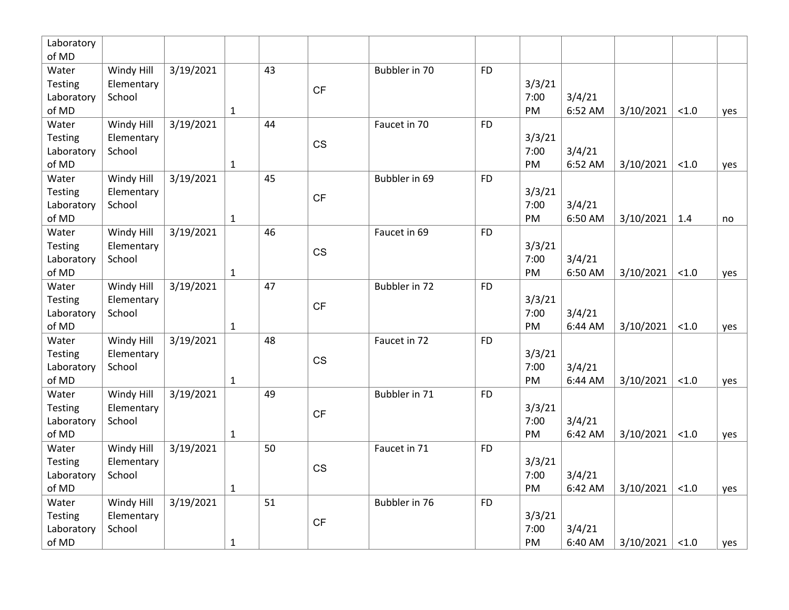| Laboratory<br>of MD   |                          |                        |              |    |           |               |           |                |         |           |       |     |
|-----------------------|--------------------------|------------------------|--------------|----|-----------|---------------|-----------|----------------|---------|-----------|-------|-----|
| Water                 | Windy Hill               | 3/19/2021              |              | 43 |           | Bubbler in 70 | <b>FD</b> |                |         |           |       |     |
| Testing               | Elementary               |                        |              |    |           |               |           | 3/3/21         |         |           |       |     |
| Laboratory            | School                   |                        |              |    | CF        |               |           | 7:00           | 3/4/21  |           |       |     |
| of MD                 |                          |                        | $\mathbf{1}$ |    |           |               |           | PM             | 6:52 AM | 3/10/2021 | < 1.0 | yes |
| Water                 | Windy Hill               | 3/19/2021              |              | 44 |           | Faucet in 70  | <b>FD</b> |                |         |           |       |     |
| Testing               | Elementary               |                        |              |    |           |               |           | 3/3/21         |         |           |       |     |
| Laboratory            | School                   |                        |              |    | CS        |               |           | 7:00           | 3/4/21  |           |       |     |
| of MD                 |                          |                        | $\mathbf{1}$ |    |           |               |           | PM             | 6:52 AM | 3/10/2021 | < 1.0 | yes |
| Water                 | Windy Hill               | $\frac{1}{3}$ /19/2021 |              | 45 |           | Bubbler in 69 | <b>FD</b> |                |         |           |       |     |
| Testing               | Elementary               |                        |              |    | <b>CF</b> |               |           | 3/3/21         |         |           |       |     |
| Laboratory            | School                   |                        |              |    |           |               |           | 7:00           | 3/4/21  |           |       |     |
| of MD                 |                          |                        | $\mathbf{1}$ |    |           |               |           | PM             | 6:50 AM | 3/10/2021 | 1.4   | no  |
| Water                 | Windy Hill               | 3/19/2021              |              | 46 |           | Faucet in 69  | <b>FD</b> |                |         |           |       |     |
| Testing               | Elementary               |                        |              |    | CS        |               |           | 3/3/21         |         |           |       |     |
| Laboratory            | School                   |                        |              |    |           |               |           | 7:00           | 3/4/21  |           |       |     |
| of MD                 |                          |                        | $\mathbf{1}$ |    |           |               |           | PM             | 6:50 AM | 3/10/2021 | < 1.0 | yes |
| Water                 | Windy Hill               | 3/19/2021              |              | 47 |           | Bubbler in 72 | <b>FD</b> |                |         |           |       |     |
| Testing               | Elementary               |                        |              |    | CF        |               |           | 3/3/21         |         |           |       |     |
| Laboratory            | School                   |                        |              |    |           |               |           | 7:00           | 3/4/21  |           |       |     |
| of MD                 |                          |                        | $\mathbf{1}$ |    |           |               |           | PM             | 6:44 AM | 3/10/2021 | < 1.0 | yes |
| Water                 | Windy Hill               | 3/19/2021              |              | 48 |           | Faucet in 72  | <b>FD</b> |                |         |           |       |     |
| Testing               | Elementary               |                        |              |    | CS        |               |           | 3/3/21         |         |           |       |     |
| Laboratory            | School                   |                        |              |    |           |               |           | 7:00<br>PM     | 3/4/21  |           |       |     |
| of MD                 |                          |                        | $\mathbf{1}$ |    |           |               |           |                | 6:44 AM | 3/10/2021 | < 1.0 | yes |
| Water                 | Windy Hill<br>Elementary | 3/19/2021              |              | 49 |           | Bubbler in 71 | <b>FD</b> |                |         |           |       |     |
| Testing<br>Laboratory | School                   |                        |              |    | <b>CF</b> |               |           | 3/3/21<br>7:00 | 3/4/21  |           |       |     |
| of MD                 |                          |                        | $\mathbf{1}$ |    |           |               |           | PM             | 6:42 AM | 3/10/2021 | < 1.0 |     |
| Water                 | Windy Hill               | 3/19/2021              |              | 50 |           | Faucet in 71  | <b>FD</b> |                |         |           |       | yes |
| Testing               | Elementary               |                        |              |    |           |               |           | 3/3/21         |         |           |       |     |
| Laboratory            | School                   |                        |              |    | CS        |               |           | 7:00           | 3/4/21  |           |       |     |
| of MD                 |                          |                        | $\mathbf{1}$ |    |           |               |           | PM             | 6:42 AM | 3/10/2021 | < 1.0 | yes |
| Water                 | Windy Hill               | 3/19/2021              |              | 51 |           | Bubbler in 76 | <b>FD</b> |                |         |           |       |     |
| Testing               | Elementary               |                        |              |    |           |               |           | 3/3/21         |         |           |       |     |
| Laboratory            | School                   |                        |              |    | <b>CF</b> |               |           | 7:00           | 3/4/21  |           |       |     |
| of MD                 |                          |                        | $\mathbf{1}$ |    |           |               |           | PM             | 6:40 AM | 3/10/2021 | < 1.0 | yes |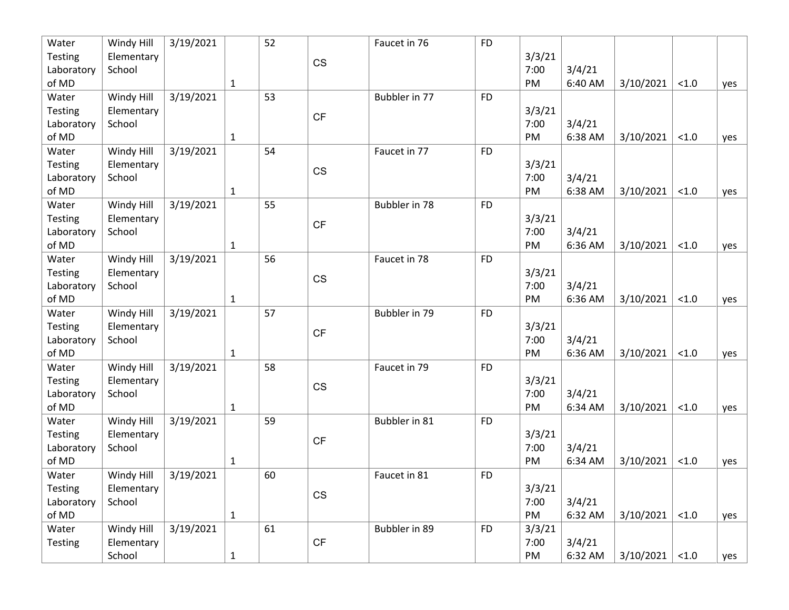| Water      | Windy Hill | 3/19/2021 |              | 52 |           | Faucet in 76  | <b>FD</b> |        |         |           |       |     |
|------------|------------|-----------|--------------|----|-----------|---------------|-----------|--------|---------|-----------|-------|-----|
| Testing    | Elementary |           |              |    | <b>CS</b> |               |           | 3/3/21 |         |           |       |     |
| Laboratory | School     |           |              |    |           |               |           | 7:00   | 3/4/21  |           |       |     |
| of MD      |            |           | $\mathbf{1}$ |    |           |               |           | PM     | 6:40 AM | 3/10/2021 | < 1.0 | yes |
| Water      | Windy Hill | 3/19/2021 |              | 53 |           | Bubbler in 77 | <b>FD</b> |        |         |           |       |     |
| Testing    | Elementary |           |              |    | CF        |               |           | 3/3/21 |         |           |       |     |
| Laboratory | School     |           |              |    |           |               |           | 7:00   | 3/4/21  |           |       |     |
| of MD      |            |           | $\mathbf{1}$ |    |           |               |           | PM     | 6:38 AM | 3/10/2021 | < 1.0 | yes |
| Water      | Windy Hill | 3/19/2021 |              | 54 |           | Faucet in 77  | <b>FD</b> |        |         |           |       |     |
| Testing    | Elementary |           |              |    |           |               |           | 3/3/21 |         |           |       |     |
| Laboratory | School     |           |              |    | <b>CS</b> |               |           | 7:00   | 3/4/21  |           |       |     |
| of MD      |            |           | $\mathbf 1$  |    |           |               |           | PM     | 6:38 AM | 3/10/2021 | < 1.0 | yes |
| Water      | Windy Hill | 3/19/2021 |              | 55 |           | Bubbler in 78 | <b>FD</b> |        |         |           |       |     |
| Testing    | Elementary |           |              |    | CF        |               |           | 3/3/21 |         |           |       |     |
| Laboratory | School     |           |              |    |           |               |           | 7:00   | 3/4/21  |           |       |     |
| of MD      |            |           | $\mathbf{1}$ |    |           |               |           | PM     | 6:36 AM | 3/10/2021 | < 1.0 | yes |
| Water      | Windy Hill | 3/19/2021 |              | 56 |           | Faucet in 78  | <b>FD</b> |        |         |           |       |     |
| Testing    | Elementary |           |              |    | <b>CS</b> |               |           | 3/3/21 |         |           |       |     |
| Laboratory | School     |           |              |    |           |               |           | 7:00   | 3/4/21  |           |       |     |
| of MD      |            |           | $\mathbf{1}$ |    |           |               |           | PM     | 6:36 AM | 3/10/2021 | < 1.0 | yes |
| Water      | Windy Hill | 3/19/2021 |              | 57 |           | Bubbler in 79 | <b>FD</b> |        |         |           |       |     |
| Testing    | Elementary |           |              |    | CF        |               |           | 3/3/21 |         |           |       |     |
| Laboratory | School     |           |              |    |           |               |           | 7:00   | 3/4/21  |           |       |     |
| of MD      |            |           | $\mathbf{1}$ |    |           |               |           | PM     | 6:36 AM | 3/10/2021 | < 1.0 | yes |
| Water      | Windy Hill | 3/19/2021 |              | 58 |           | Faucet in 79  | <b>FD</b> |        |         |           |       |     |
| Testing    | Elementary |           |              |    | <b>CS</b> |               |           | 3/3/21 |         |           |       |     |
| Laboratory | School     |           |              |    |           |               |           | 7:00   | 3/4/21  |           |       |     |
| of MD      |            |           | $\mathbf{1}$ |    |           |               |           | PM     | 6:34 AM | 3/10/2021 | < 1.0 | yes |
| Water      | Windy Hill | 3/19/2021 |              | 59 |           | Bubbler in 81 | <b>FD</b> |        |         |           |       |     |
| Testing    | Elementary |           |              |    | CF        |               |           | 3/3/21 |         |           |       |     |
| Laboratory | School     |           |              |    |           |               |           | 7:00   | 3/4/21  |           |       |     |
| of MD      |            |           | $\mathbf{1}$ |    |           |               |           | PM     | 6:34 AM | 3/10/2021 | < 1.0 | yes |
| Water      | Windy Hill | 3/19/2021 |              | 60 |           | Faucet in 81  | <b>FD</b> |        |         |           |       |     |
| Testing    | Elementary |           |              |    | CS        |               |           | 3/3/21 |         |           |       |     |
| Laboratory | School     |           |              |    |           |               |           | 7:00   | 3/4/21  |           |       |     |
| of MD      |            |           | $\mathbf{1}$ |    |           |               |           | PM     | 6:32 AM | 3/10/2021 | < 1.0 | yes |
| Water      | Windy Hill | 3/19/2021 |              | 61 |           | Bubbler in 89 | <b>FD</b> | 3/3/21 |         |           |       |     |
| Testing    | Elementary |           |              |    | CF        |               |           | 7:00   | 3/4/21  |           |       |     |
|            | School     |           | $\mathbf{1}$ |    |           |               |           | PM     | 6:32 AM | 3/10/2021 | < 1.0 | yes |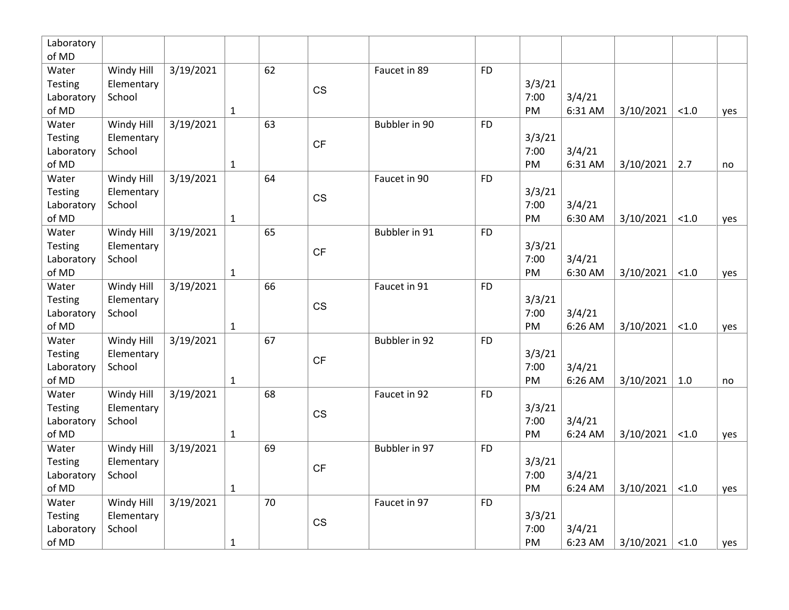| Laboratory<br>of MD |            |           |              |    |                        |               |           |        |         |           |       |     |
|---------------------|------------|-----------|--------------|----|------------------------|---------------|-----------|--------|---------|-----------|-------|-----|
| Water               | Windy Hill | 3/19/2021 |              | 62 |                        | Faucet in 89  | <b>FD</b> |        |         |           |       |     |
| Testing             | Elementary |           |              |    |                        |               |           | 3/3/21 |         |           |       |     |
| Laboratory          | School     |           |              |    | CS                     |               |           | 7:00   | 3/4/21  |           |       |     |
| of MD               |            |           | $\mathbf{1}$ |    |                        |               |           | PM     | 6:31 AM | 3/10/2021 | < 1.0 | yes |
| Water               | Windy Hill | 3/19/2021 |              | 63 |                        | Bubbler in 90 | <b>FD</b> |        |         |           |       |     |
| Testing             | Elementary |           |              |    |                        |               |           | 3/3/21 |         |           |       |     |
| Laboratory          | School     |           |              |    | CF                     |               |           | 7:00   | 3/4/21  |           |       |     |
| of MD               |            |           | $\mathbf{1}$ |    |                        |               |           | PM     | 6:31 AM | 3/10/2021 | 2.7   | no  |
| Water               | Windy Hill | 3/19/2021 |              | 64 |                        | Faucet in 90  | <b>FD</b> |        |         |           |       |     |
| Testing             | Elementary |           |              |    |                        |               |           | 3/3/21 |         |           |       |     |
| Laboratory          | School     |           |              |    | CS                     |               |           | 7:00   | 3/4/21  |           |       |     |
| of MD               |            |           | $\mathbf{1}$ |    |                        |               |           | PM     | 6:30 AM | 3/10/2021 | < 1.0 | yes |
| Water               | Windy Hill | 3/19/2021 |              | 65 |                        | Bubbler in 91 | <b>FD</b> |        |         |           |       |     |
| Testing             | Elementary |           |              |    |                        |               |           | 3/3/21 |         |           |       |     |
| Laboratory          | School     |           |              |    | CF                     |               |           | 7:00   | 3/4/21  |           |       |     |
| of MD               |            |           | $\mathbf{1}$ |    |                        |               |           | PM     | 6:30 AM | 3/10/2021 | < 1.0 | yes |
| Water               | Windy Hill | 3/19/2021 |              | 66 |                        | Faucet in 91  | <b>FD</b> |        |         |           |       |     |
| Testing             | Elementary |           |              |    | $\mathbb{C}\mathbb{S}$ |               |           | 3/3/21 |         |           |       |     |
| Laboratory          | School     |           |              |    |                        |               |           | 7:00   | 3/4/21  |           |       |     |
| of MD               |            |           | $\mathbf{1}$ |    |                        |               |           | PM     | 6:26 AM | 3/10/2021 | < 1.0 | yes |
| Water               | Windy Hill | 3/19/2021 |              | 67 |                        | Bubbler in 92 | <b>FD</b> |        |         |           |       |     |
| Testing             | Elementary |           |              |    | <b>CF</b>              |               |           | 3/3/21 |         |           |       |     |
| Laboratory          | School     |           |              |    |                        |               |           | 7:00   | 3/4/21  |           |       |     |
| of MD               |            |           | $\mathbf{1}$ |    |                        |               |           | PM     | 6:26 AM | 3/10/2021 | 1.0   | no  |
| Water               | Windy Hill | 3/19/2021 |              | 68 |                        | Faucet in 92  | <b>FD</b> |        |         |           |       |     |
| Testing             | Elementary |           |              |    | CS                     |               |           | 3/3/21 |         |           |       |     |
| Laboratory          | School     |           |              |    |                        |               |           | 7:00   | 3/4/21  |           |       |     |
| of MD               |            |           | $\mathbf{1}$ |    |                        |               |           | PM     | 6:24 AM | 3/10/2021 | < 1.0 | yes |
| Water               | Windy Hill | 3/19/2021 |              | 69 |                        | Bubbler in 97 | <b>FD</b> |        |         |           |       |     |
| Testing             | Elementary |           |              |    | <b>CF</b>              |               |           | 3/3/21 |         |           |       |     |
| Laboratory          | School     |           |              |    |                        |               |           | 7:00   | 3/4/21  |           |       |     |
| of MD               |            |           | $\mathbf{1}$ |    |                        |               |           | PM     | 6:24 AM | 3/10/2021 | < 1.0 | yes |
| Water               | Windy Hill | 3/19/2021 |              | 70 |                        | Faucet in 97  | <b>FD</b> |        |         |           |       |     |
| Testing             | Elementary |           |              |    | CS                     |               |           | 3/3/21 |         |           |       |     |
| Laboratory          | School     |           |              |    |                        |               |           | 7:00   | 3/4/21  |           |       |     |
| of MD               |            |           | $\mathbf{1}$ |    |                        |               |           | PM     | 6:23 AM | 3/10/2021 | < 1.0 | yes |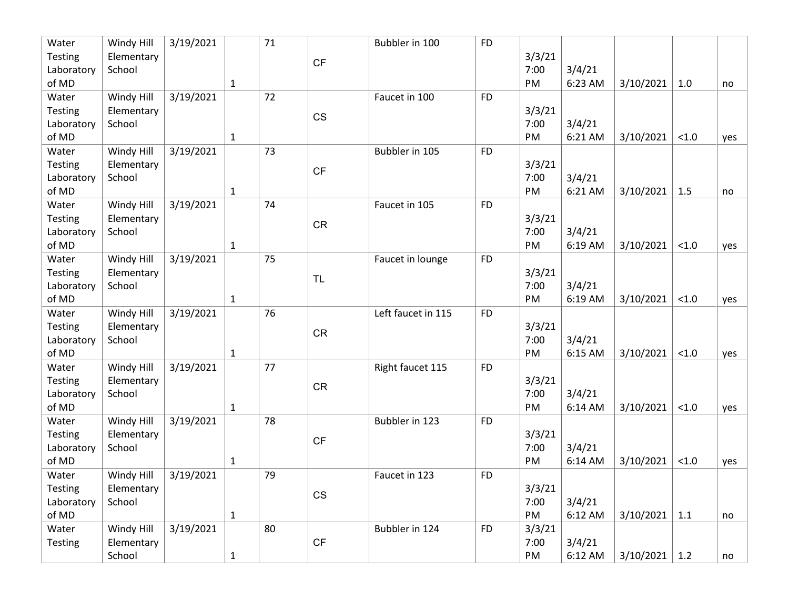| Water          | Windy Hill | 3/19/2021 |              | 71 |           | Bubbler in 100     | <b>FD</b> |        |         |           |       |     |
|----------------|------------|-----------|--------------|----|-----------|--------------------|-----------|--------|---------|-----------|-------|-----|
| <b>Testing</b> | Elementary |           |              |    | CF        |                    |           | 3/3/21 |         |           |       |     |
| Laboratory     | School     |           |              |    |           |                    |           | 7:00   | 3/4/21  |           |       |     |
| of MD          |            |           | $\mathbf{1}$ |    |           |                    |           | PM     | 6:23 AM | 3/10/2021 | 1.0   | no  |
| Water          | Windy Hill | 3/19/2021 |              | 72 |           | Faucet in 100      | <b>FD</b> |        |         |           |       |     |
| Testing        | Elementary |           |              |    |           |                    |           | 3/3/21 |         |           |       |     |
| Laboratory     | School     |           |              |    | CS        |                    |           | 7:00   | 3/4/21  |           |       |     |
| of MD          |            |           | $\mathbf{1}$ |    |           |                    |           | PM     | 6:21 AM | 3/10/2021 | < 1.0 | yes |
| Water          | Windy Hill | 3/19/2021 |              | 73 |           | Bubbler in 105     | <b>FD</b> |        |         |           |       |     |
| Testing        | Elementary |           |              |    | CF        |                    |           | 3/3/21 |         |           |       |     |
| Laboratory     | School     |           |              |    |           |                    |           | 7:00   | 3/4/21  |           |       |     |
| of MD          |            |           | $\mathbf{1}$ |    |           |                    |           | PM     | 6:21 AM | 3/10/2021 | 1.5   | no  |
| Water          | Windy Hill | 3/19/2021 |              | 74 |           | Faucet in 105      | <b>FD</b> |        |         |           |       |     |
| Testing        | Elementary |           |              |    | <b>CR</b> |                    |           | 3/3/21 |         |           |       |     |
| Laboratory     | School     |           |              |    |           |                    |           | 7:00   | 3/4/21  |           |       |     |
| of MD          |            |           | $\mathbf{1}$ |    |           |                    |           | PM     | 6:19 AM | 3/10/2021 | < 1.0 | yes |
| Water          | Windy Hill | 3/19/2021 |              | 75 |           | Faucet in lounge   | <b>FD</b> |        |         |           |       |     |
| Testing        | Elementary |           |              |    | <b>TL</b> |                    |           | 3/3/21 |         |           |       |     |
| Laboratory     | School     |           |              |    |           |                    |           | 7:00   | 3/4/21  |           |       |     |
| of MD          |            |           | $\mathbf{1}$ |    |           |                    |           | PM     | 6:19 AM | 3/10/2021 | < 1.0 | yes |
| Water          | Windy Hill | 3/19/2021 |              | 76 |           | Left faucet in 115 | <b>FD</b> |        |         |           |       |     |
| Testing        | Elementary |           |              |    | CR        |                    |           | 3/3/21 |         |           |       |     |
| Laboratory     | School     |           |              |    |           |                    |           | 7:00   | 3/4/21  |           |       |     |
| of MD          |            |           | $\mathbf{1}$ |    |           |                    |           | PM     | 6:15 AM | 3/10/2021 | < 1.0 | yes |
| Water          | Windy Hill | 3/19/2021 |              | 77 |           | Right faucet 115   | <b>FD</b> |        |         |           |       |     |
| Testing        | Elementary |           |              |    | CR        |                    |           | 3/3/21 |         |           |       |     |
| Laboratory     | School     |           |              |    |           |                    |           | 7:00   | 3/4/21  |           |       |     |
| of MD          |            |           | $\mathbf{1}$ |    |           |                    |           | PM     | 6:14 AM | 3/10/2021 | < 1.0 | yes |
| Water          | Windy Hill | 3/19/2021 |              | 78 |           | Bubbler in 123     | <b>FD</b> |        |         |           |       |     |
| <b>Testing</b> | Elementary |           |              |    | CF        |                    |           | 3/3/21 |         |           |       |     |
| Laboratory     | School     |           |              |    |           |                    |           | 7:00   | 3/4/21  |           |       |     |
| of MD          |            |           | 1            |    |           |                    |           | PM     | 6:14 AM | 3/10/2021 | < 1.0 | yes |
| Water          | Windy Hill | 3/19/2021 |              | 79 |           | Faucet in 123      | <b>FD</b> |        |         |           |       |     |
| <b>Testing</b> | Elementary |           |              |    | CS        |                    |           | 3/3/21 |         |           |       |     |
| Laboratory     | School     |           |              |    |           |                    |           | 7:00   | 3/4/21  |           |       |     |
| of MD          |            |           | $\mathbf{1}$ |    |           |                    |           | PM     | 6:12 AM | 3/10/2021 | 1.1   | no  |
| Water          | Windy Hill | 3/19/2021 |              | 80 |           | Bubbler in 124     | <b>FD</b> | 3/3/21 |         |           |       |     |
| <b>Testing</b> | Elementary |           |              |    | CF        |                    |           | 7:00   | 3/4/21  |           |       |     |
|                | School     |           | $\mathbf 1$  |    |           |                    |           | PM     | 6:12 AM | 3/10/2021 | 1.2   | no  |